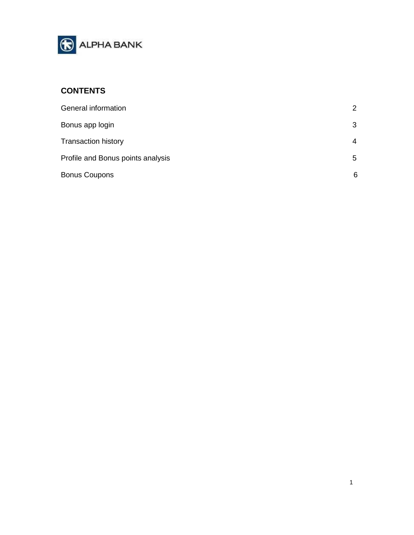

# **CONTENTS**

| General information               | $\overline{2}$ |
|-----------------------------------|----------------|
| Bonus app login                   | 3              |
| <b>Transaction history</b>        | 4              |
| Profile and Bonus points analysis | 5              |
| <b>Bonus Coupons</b>              | 6              |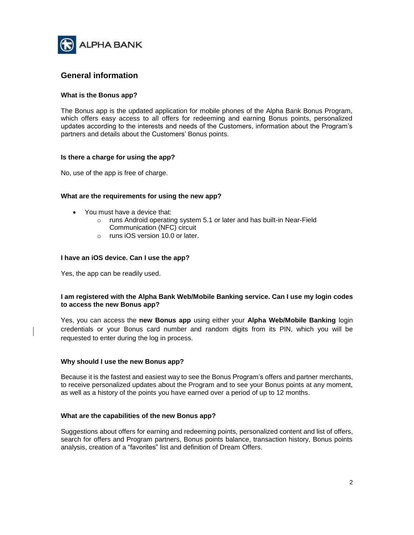

## <span id="page-1-0"></span>**General information**

### **What is the Bonus app?**

The Bonus app is the updated application for mobile phones of the Alpha Bank Bonus Program, which offers easy access to all offers for redeeming and earning Bonus points, personalized updates according to the interests and needs of the Customers, information about the Program's partners and details about the Customers' Bonus points.

### **Is there a charge for using the app?**

No, use of the app is free of charge.

### **What are the requirements for using the new app?**

- You must have a device that:
	- o runs Android operating system 5.1 or later and has built-in Near-Field Communication (NFC) circuit
	- o runs iOS version 10.0 or later.

### **I have an iOS device. Can I use the app?**

Yes, the app can be readily used.

### **I am registered with the Alpha Bank Web/Mobile Banking service. Can I use my login codes to access the new Bonus app?**

Yes, you can access the **new Bonus app** using either your **Alpha Web/Mobile Banking** login credentials or your Bonus card number and random digits from its PIN, which you will be requested to enter during the log in process.

### **Why should I use the new Bonus app?**

Because it is the fastest and easiest way to see the Bonus Program's offers and partner merchants, to receive personalized updates about the Program and to see your Bonus points at any moment, as well as a history of the points you have earned over a period of up to 12 months.

### **What are the capabilities of the new Bonus app?**

Suggestions about offers for earning and redeeming points, personalized content and list of offers, search for offers and Program partners, Bonus points balance, transaction history, Bonus points analysis, creation of a "favorites" list and definition of Dream Offers.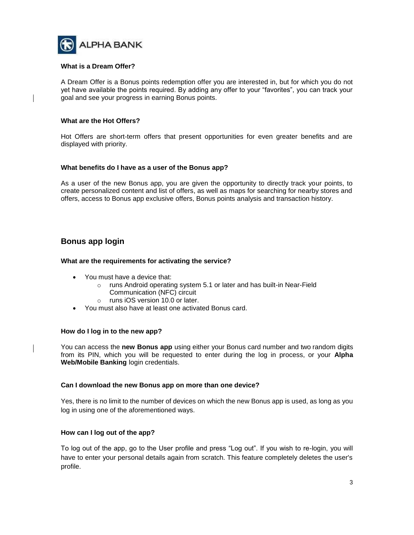

### **What is a Dream Offer?**

A Dream Offer is a Bonus points redemption offer you are interested in, but for which you do not yet have available the points required. By adding any offer to your "favorites", you can track your goal and see your progress in earning Bonus points.

### **What are the Hot Offers?**

Hot Offers are short-term offers that present opportunities for even greater benefits and are displayed with priority.

### **What benefits do I have as a user of the Bonus app?**

As a user of the new Bonus app, you are given the opportunity to directly track your points, to create personalized content and list of offers, as well as maps for searching for nearby stores and offers, access to Bonus app exclusive offers, Bonus points analysis and transaction history.

### <span id="page-2-0"></span>**Bonus app login**

### **What are the requirements for activating the service?**

- You must have a device that:
	- o runs Android operating system 5.1 or later and has built-in Near-Field Communication (NFC) circuit
	- o runs iOS version 10.0 or later.
- You must also have at least one activated Bonus card.

#### **How do I log in to the new app?**

You can access the **new Bonus app** using either your Bonus card number and two random digits from its PIN, which you will be requested to enter during the log in process, or your **Alpha Web/Mobile Banking** login credentials.

#### **Can I download the new Bonus app on more than one device?**

Yes, there is no limit to the number of devices on which the new Bonus app is used, as long as you log in using one of the aforementioned ways.

### **How can I log out of the app?**

To log out of the app, go to the User profile and press "Log out". If you wish to re-login, you will have to enter your personal details again from scratch. This feature completely deletes the user's profile.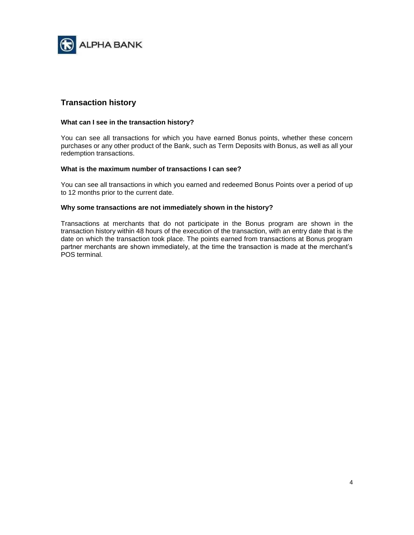

# <span id="page-3-0"></span>**Transaction history**

### **What can I see in the transaction history?**

You can see all transactions for which you have earned Bonus points, whether these concern purchases or any other product of the Bank, such as Term Deposits with Bonus, as well as all your redemption transactions.

### **What is the maximum number of transactions I can see?**

You can see all transactions in which you earned and redeemed Bonus Points over a period of up to 12 months prior to the current date.

### **Why some transactions are not immediately shown in the history?**

Transactions at merchants that do not participate in the Bonus program are shown in the transaction history within 48 hours of the execution of the transaction, with an entry date that is the date on which the transaction took place. The points earned from transactions at Bonus program partner merchants are shown immediately, at the time the transaction is made at the merchant's POS terminal.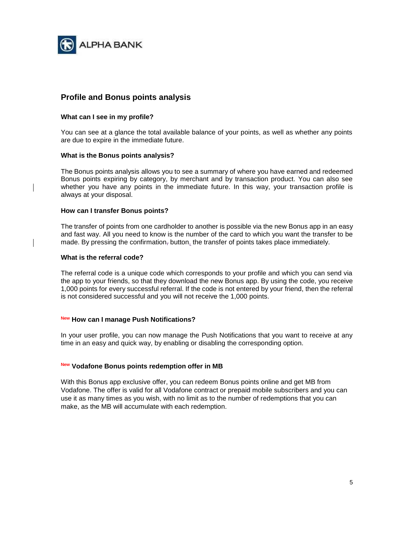

# <span id="page-4-0"></span>**Profile and Bonus points analysis**

### **What can I see in my profile?**

You can see at a glance the total available balance of your points, as well as whether any points are due to expire in the immediate future.

### **What is the Bonus points analysis?**

The Bonus points analysis allows you to see a summary of where you have earned and redeemed Bonus points expiring by category, by merchant and by transaction product. You can also see whether you have any points in the immediate future. In this way, your transaction profile is always at your disposal.

### **How can I transfer Bonus points?**

The transfer of points from one cardholder to another is possible via the new Bonus app in an easy and fast way. All you need to know is the number of the card to which you want the transfer to be made. By pressing the confirmation, button, the transfer of points takes place immediately.

### **What is the referral code?**

The referral code is a unique code which corresponds to your profile and which you can send via the app to your friends, so that they download the new Bonus app. By using the code, you receive 1,000 points for every successful referral. If the code is not entered by your friend, then the referral is not considered successful and you will not receive the 1,000 points.

### **New How can I manage Push Notifications?**

In your user profile, you can now manage the Push Notifications that you want to receive at any time in an easy and quick way, by enabling or disabling the corresponding option.

### **New Vodafone Bonus points redemption offer in MB**

With this Bonus app exclusive offer, you can redeem Bonus points online and get MB from Vodafone. The offer is valid for all Vodafone contract or prepaid mobile subscribers and you can use it as many times as you wish, with no limit as to the number of redemptions that you can make, as the MB will accumulate with each redemption.